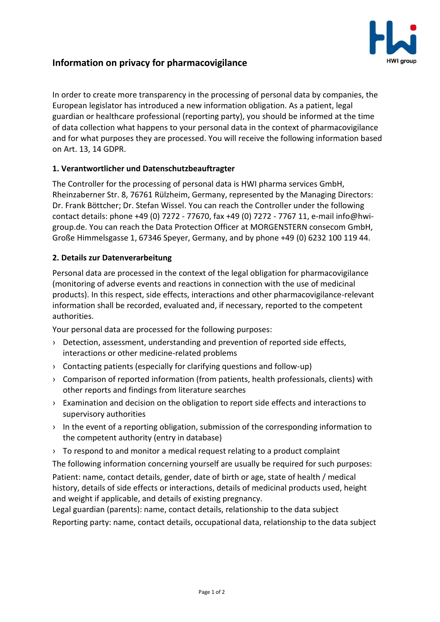

# **Information on privacy for pharmacovigilance**

In order to create more transparency in the processing of personal data by companies, the European legislator has introduced a new information obligation. As a patient, legal guardian or healthcare professional (reporting party), you should be informed at the time of data collection what happens to your personal data in the context of pharmacovigilance and for what purposes they are processed. You will receive the following information based on Art. 13, 14 GDPR.

## **1. Verantwortlicher und Datenschutzbeauftragter**

The Controller for the processing of personal data is HWI pharma services GmbH, Rheinzaberner Str. 8, 76761 Rülzheim, Germany, represented by the Managing Directors: Dr. Frank Böttcher; Dr. Stefan Wissel. You can reach the Controller under the following contact details: phone +49 (0) 7272 - 77670, fax +49 (0) 7272 - 7767 11, e-mail info@hwigroup.de. You can reach the Data Protection Officer at MORGENSTERN consecom GmbH, Große Himmelsgasse 1, 67346 Speyer, Germany, and by phone +49 (0) 6232 100 119 44.

## **2. Details zur Datenverarbeitung**

Personal data are processed in the context of the legal obligation for pharmacovigilance (monitoring of adverse events and reactions in connection with the use of medicinal products). In this respect, side effects, interactions and other pharmacovigilance-relevant information shall be recorded, evaluated and, if necessary, reported to the competent authorities.

Your personal data are processed for the following purposes:

- › Detection, assessment, understanding and prevention of reported side effects, interactions or other medicine-related problems
- › Contacting patients (especially for clarifying questions and follow-up)
- › Comparison of reported information (from patients, health professionals, clients) with other reports and findings from literature searches
- › Examination and decision on the obligation to report side effects and interactions to supervisory authorities
- $\rightarrow$  In the event of a reporting obligation, submission of the corresponding information to the competent authority (entry in database)
- › To respond to and monitor a medical request relating to a product complaint

The following information concerning yourself are usually be required for such purposes: Patient: name, contact details, gender, date of birth or age, state of health / medical history, details of side effects or interactions, details of medicinal products used, height and weight if applicable, and details of existing pregnancy.

Legal guardian (parents): name, contact details, relationship to the data subject Reporting party: name, contact details, occupational data, relationship to the data subject